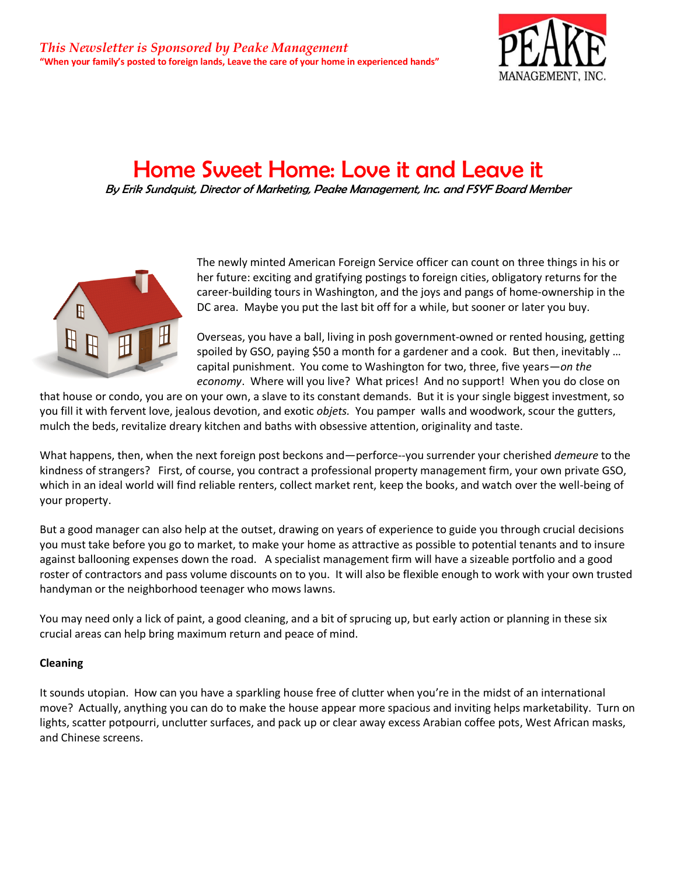

# Home Sweet Home: Love it and Leave it

By Erik Sundquist, Director of Marketing, Peake Management, Inc. and FSYF Board Member



The newly minted American Foreign Service officer can count on three things in his or her future: exciting and gratifying postings to foreign cities, obligatory returns for the career-building tours in Washington, and the joys and pangs of home-ownership in the DC area. Maybe you put the last bit off for a while, but sooner or later you buy.

Overseas, you have a ball, living in posh government-owned or rented housing, getting spoiled by GSO, paying \$50 a month for a gardener and a cook. But then, inevitably ... capital punishment. You come to Washington for two, three, five years—*on the economy*. Where will you live? What prices! And no support! When you do close on

that house or condo, you are on your own, a slave to its constant demands. But it is your single biggest investment, so you fill it with fervent love, jealous devotion, and exotic *objets.* You pamper walls and woodwork, scour the gutters, mulch the beds, revitalize dreary kitchen and baths with obsessive attention, originality and taste.

What happens, then, when the next foreign post beckons and—perforce--you surrender your cherished *demeure* to the kindness of strangers? First, of course, you contract a professional property management firm, your own private GSO, which in an ideal world will find reliable renters, collect market rent, keep the books, and watch over the well-being of your property.

But a good manager can also help at the outset, drawing on years of experience to guide you through crucial decisions you must take before you go to market, to make your home as attractive as possible to potential tenants and to insure against ballooning expenses down the road. A specialist management firm will have a sizeable portfolio and a good roster of contractors and pass volume discounts on to you. It will also be flexible enough to work with your own trusted handyman or the neighborhood teenager who mows lawns.

You may need only a lick of paint, a good cleaning, and a bit of sprucing up, but early action or planning in these six crucial areas can help bring maximum return and peace of mind.

## **Cleaning**

It sounds utopian. How can you have a sparkling house free of clutter when you're in the midst of an international move? Actually, anything you can do to make the house appear more spacious and inviting helps marketability. Turn on lights, scatter potpourri, unclutter surfaces, and pack up or clear away excess Arabian coffee pots, West African masks, and Chinese screens.